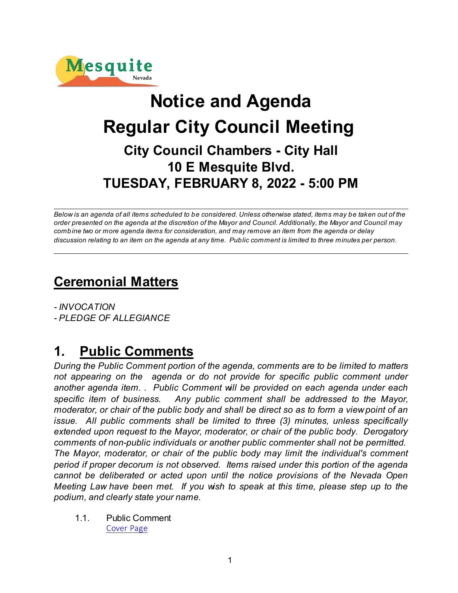

# **Notice and Agenda Regular City Council Meeting City Council Chambers - City Hall 10 E Mesquite Blvd. TUESDAY, FEBRUARY 8, 2022 - 5:00 PM**

*Below is an agenda of all items scheduled to be considered. Unless otherwise stated, items may be taken out of the order presented on the agenda at the discretion of the Mayor and Council. Additionally, the Mayor and Council may combine two or more agenda items for consideration, and may remove an item from the agenda or delay discussion relating to an item on the agenda at any time. Public comment is limited to three minutes per person.*

## **Ceremonial Matters**

*- INVOCATION - PLEDGE OF ALLEGIANCE* 

## **1. Public Comments**

*During the Public Comment portion of the agenda, comments are to be limited to matters not appearing on the agenda or do not provide for specific public comment under another agenda item. . Public Comment will be provided on each agenda under each specific item of business. Any public comment shall be addressed to the Mayor, moderator, or chair of the public body and shall be direct so as to form a view point of an issue. All public comments shall be limited to three (3) minutes, unless specifically extended upon request to the Mayor, moderator, or chair of the public body. Derogatory comments of non-public individuals or another public commenter shall not be permitted. The Mayor, moderator, or chair of the public body may limit the individual's comment period if proper decorum is not observed. Items raised under this portion of the agenda cannot be deliberated or acted upon until the notice provisions of the Nevada Open Meeting Law have been met. If you wish to speak at this time, please step up to the podium, and clearly state your name.*

1.1. Public Comment [Cover Page](https://legistarweb-production.s3.amazonaws.com/uploads/attachment/pdf/1231823/d9d972fa18b3ff1639fb6b128c9d47130.pdf)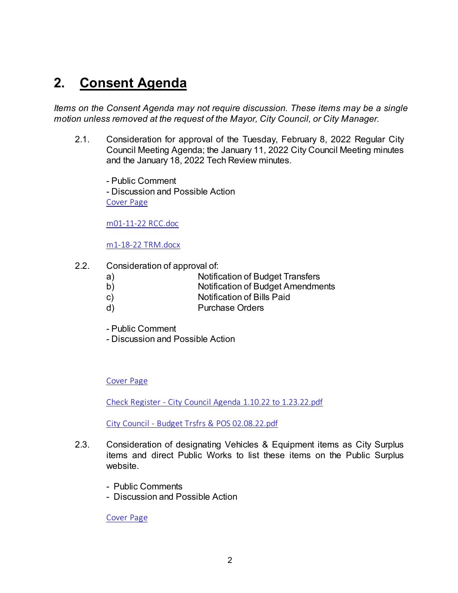## **2. Consent Agenda**

*Items on the Consent Agenda may not require discussion. These items may be a single motion unless removed at the request of the Mayor, City Council, or City Manager.* 

2.1. Consideration for approval of the Tuesday, February 8, 2022 Regular City Council Meeting Agenda; the January 11, 2022 City Council Meeting minutes and the January 18, 2022 Tech Review minutes.

- Public Comment - Discussion and Possible Action [Cover Page](https://legistarweb-production.s3.amazonaws.com/uploads/attachment/pdf/1231881/dc86d8fd6e15afccb3cfc708af3afe550.pdf)

[m01-11-22 RCC.doc](https://legistarweb-production.s3.amazonaws.com/uploads/attachment/pdf/1231878/m01-11-22_RCC.pdf)

[m1-18-22 TRM.docx](https://legistarweb-production.s3.amazonaws.com/uploads/attachment/pdf/1231879/m1-18-22_TRM.pdf)

- 2.2. Consideration of approval of:
	- a) Notification of Budget Transfers
	- b) Notification of Budget Amendments
	- c) Notification of Bills Paid
	- d) Purchase Orders
	- Public Comment
	- Discussion and Possible Action

### [Cover Page](https://legistarweb-production.s3.amazonaws.com/uploads/attachment/pdf/1231891/19ab374c8dcae266a6f6ebf80ef0c92c0.pdf)

[Check Register - City Council Agenda 1.10.22 to 1.23.22.pdf](https://legistarweb-production.s3.amazonaws.com/uploads/attachment/pdf/1231885/Check_Register_-_City_Council_Agenda_1.10.22_to_1.23.22.pdf)

[City Council - Budget Trsfrs & POS 02.08.22.pdf](https://legistarweb-production.s3.amazonaws.com/uploads/attachment/pdf/1231886/City_Council_-_Budget_Trsfrs___POS_02.08.22.pdf)

- 2.3. Consideration of designating Vehicles & Equipment items as City Surplus items and direct Public Works to list these items on the Public Surplus website.
	- Public Comments
	- Discussion and Possible Action

[Cover Page](https://legistarweb-production.s3.amazonaws.com/uploads/attachment/pdf/1231929/ed9409ad7005e777636741a2a389e2520.pdf)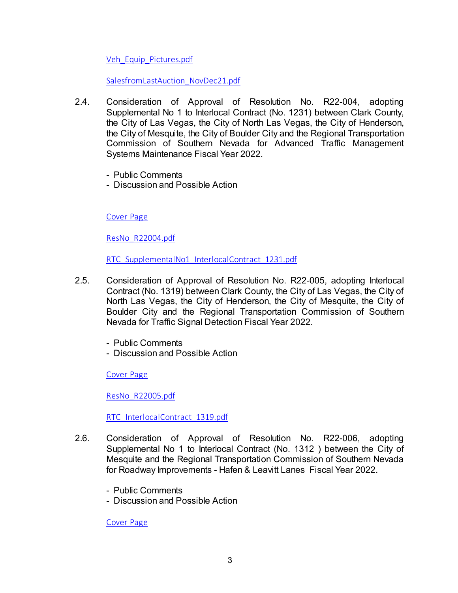[Veh\\_Equip\\_Pictures.pdf](https://legistarweb-production.s3.amazonaws.com/uploads/attachment/pdf/1231922/Veh_Equip_Pictures.pdf)

[SalesfromLastAuction\\_NovDec21.pdf](https://legistarweb-production.s3.amazonaws.com/uploads/attachment/pdf/1231923/SalesfromLastAuction_NovDec21.pdf)

- 2.4. Consideration of Approval of Resolution No. R22-004, adopting Supplemental No 1 to Interlocal Contract (No. 1231) between Clark County, the City of Las Vegas, the City of North Las Vegas, the City of Henderson, the City of Mesquite, the City of Boulder City and the Regional Transportation Commission of Southern Nevada for Advanced Traffic Management Systems Maintenance Fiscal Year 2022.
	- Public Comments
	- Discussion and Possible Action

[Cover Page](https://legistarweb-production.s3.amazonaws.com/uploads/attachment/pdf/1231941/bbc575ecfe7f36d86f3d821037b72b050.pdf)

[ResNo\\_R22004.pdf](https://legistarweb-production.s3.amazonaws.com/uploads/attachment/pdf/1231939/ResNo_R22004.pdf)

[RTC\\_SupplementalNo1\\_InterlocalContract\\_1231.pdf](https://legistarweb-production.s3.amazonaws.com/uploads/attachment/pdf/1231940/RTC_SupplementalNo1_InterlocalContract_1231.pdf)

- 2.5. Consideration of Approval of Resolution No. R22-005, adopting Interlocal Contract (No. 1319) between Clark County, the City of Las Vegas, the City of North Las Vegas, the City of Henderson, the City of Mesquite, the City of Boulder City and the Regional Transportation Commission of Southern Nevada for Traffic Signal Detection Fiscal Year 2022.
	- Public Comments
	- Discussion and Possible Action

[Cover Page](https://legistarweb-production.s3.amazonaws.com/uploads/attachment/pdf/1231947/1e84696271e677abaf4918916e48e3eb0.pdf)

[ResNo\\_R22005.pdf](https://legistarweb-production.s3.amazonaws.com/uploads/attachment/pdf/1231945/ResNo_R22005.pdf)

[RTC\\_InterlocalContract\\_1319.pdf](https://legistarweb-production.s3.amazonaws.com/uploads/attachment/pdf/1231946/RTC_InterlocalContract_1319.pdf)

- 2.6. Consideration of Approval of Resolution No. R22-006, adopting Supplemental No 1 to Interlocal Contract (No. 1312 ) between the City of Mesquite and the Regional Transportation Commission of Southern Nevada for Roadway Improvements - Hafen & Leavitt Lanes Fiscal Year 2022.
	- Public Comments
	- Discussion and Possible Action

[Cover Page](https://legistarweb-production.s3.amazonaws.com/uploads/attachment/pdf/1231961/84c0da329af7031f3c16cb78f9bb432a0.pdf)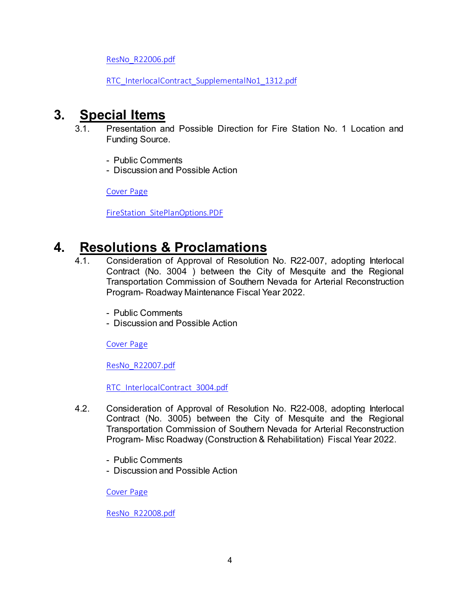[ResNo\\_R22006.pdf](https://legistarweb-production.s3.amazonaws.com/uploads/attachment/pdf/1231956/ResNo_R22006.pdf)

[RTC\\_InterlocalContract\\_SupplementalNo1\\_1312.pdf](https://legistarweb-production.s3.amazonaws.com/uploads/attachment/pdf/1231957/RTC_InterlocalContract_SupplementalNo1_1312.pdf)

### **3. Special Items**

- 3.1. Presentation and Possible Direction for Fire Station No. 1 Location and Funding Source.
	- Public Comments
	- Discussion and Possible Action

[Cover Page](https://legistarweb-production.s3.amazonaws.com/uploads/attachment/pdf/1231970/e88bc3f6cde8273976958e4db117d7720.pdf)

[FireStation\\_SitePlanOptions.PDF](https://legistarweb-production.s3.amazonaws.com/uploads/attachment/pdf/1231964/FireStation_SitePlanOptions.PDF)

## **4. Resolutions & Proclamations**

- 4.1. Consideration of Approval of Resolution No. R22-007, adopting Interlocal Contract (No. 3004 ) between the City of Mesquite and the Regional Transportation Commission of Southern Nevada for Arterial Reconstruction Program- Roadway Maintenance Fiscal Year 2022.
	- Public Comments
	- Discussion and Possible Action

[Cover Page](https://legistarweb-production.s3.amazonaws.com/uploads/attachment/pdf/1232015/4f69afb5452fc6331d8dd9e158ee63520.pdf)

[ResNo\\_R22007.pdf](https://legistarweb-production.s3.amazonaws.com/uploads/attachment/pdf/1232005/ResNo_R22007.pdf)

[RTC\\_InterlocalContract\\_3004.pdf](https://legistarweb-production.s3.amazonaws.com/uploads/attachment/pdf/1232006/RTC_InterlocalContract_3004.pdf)

- 4.2. Consideration of Approval of Resolution No. R22-008, adopting Interlocal Contract (No. 3005) between the City of Mesquite and the Regional Transportation Commission of Southern Nevada for Arterial Reconstruction Program- Misc Roadway (Construction & Rehabilitation) Fiscal Year 2022.
	- Public Comments
	- Discussion and Possible Action

[Cover Page](https://legistarweb-production.s3.amazonaws.com/uploads/attachment/pdf/1232046/80e89c6b267e894f310f2c88b0f28d910.pdf)

[ResNo\\_R22008.pdf](https://legistarweb-production.s3.amazonaws.com/uploads/attachment/pdf/1232036/ResNo_R22008.pdf)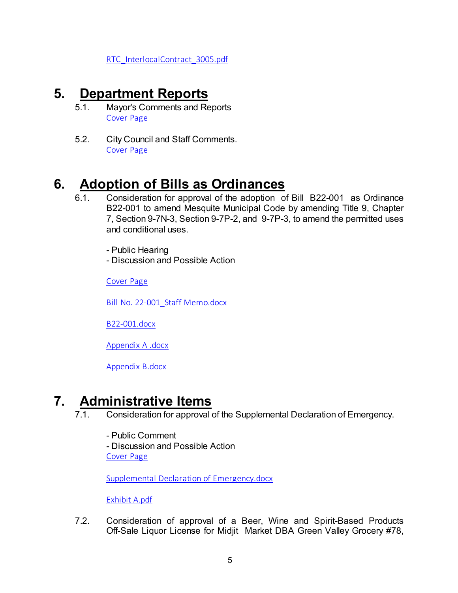[RTC\\_InterlocalContract\\_3005.pdf](https://legistarweb-production.s3.amazonaws.com/uploads/attachment/pdf/1232037/RTC_InterlocalContract_3005.pdf)

## **5. Department Reports**

- 5.1. Mayor's Comments and Reports [Cover Page](https://legistarweb-production.s3.amazonaws.com/uploads/attachment/pdf/1232381/88aae82159105cdfda888acd71616f250.pdf)
- 5.2. City Council and Staff Comments. [Cover Page](https://legistarweb-production.s3.amazonaws.com/uploads/attachment/pdf/1232388/fd562983bd21f5a9300289ce17ac7e150.pdf)

## **6. Adoption of Bills as Ordinances**

- 6.1. Consideration for approval of the adoption of Bill B22-001 as Ordinance B22-001 to amend Mesquite Municipal Code by amending Title 9, Chapter 7, Section 9-7N-3, Section 9-7P-2, and 9-7P-3, to amend the permitted uses and conditional uses.
	- Public Hearing
	- Discussion and Possible Action

[Cover Page](https://legistarweb-production.s3.amazonaws.com/uploads/attachment/pdf/1232401/efd87b75be9a494376bb2619dd6bf12d0.pdf)

[Bill No. 22-001\\_Staff Memo.docx](https://legistarweb-production.s3.amazonaws.com/uploads/attachment/pdf/1232392/Bill_No._22-001_Staff_Memo.pdf)

[B22-001.docx](https://legistarweb-production.s3.amazonaws.com/uploads/attachment/pdf/1232393/BILL22-001.pdf)

[Appendix A .docx](https://legistarweb-production.s3.amazonaws.com/uploads/attachment/pdf/1232394/Appendix_A_.pdf)

[Appendix B.docx](https://legistarweb-production.s3.amazonaws.com/uploads/attachment/pdf/1232395/Appendix_B.pdf)

## **7. Administrative Items**

- 7.1. Consideration for approval of the Supplemental Declaration of Emergency.
	- Public Comment

- Discussion and Possible Action [Cover Page](https://legistarweb-production.s3.amazonaws.com/uploads/attachment/pdf/1231875/d0134dafd7766f491afe47bbf7a6f9f30.pdf)

[Supplemental Declaration of Emergency.docx](https://legistarweb-production.s3.amazonaws.com/uploads/attachment/pdf/1231441/Supplemental_Declaration_of_Emergency.pdf)

[Exhibit A.pdf](https://legistarweb-production.s3.amazonaws.com/uploads/attachment/pdf/1231874/Exhibit_A.pdf)

7.2. Consideration of approval of a Beer, Wine and Spirit-Based Products Off-Sale Liquor License for Midjit Market DBA Green Valley Grocery #78,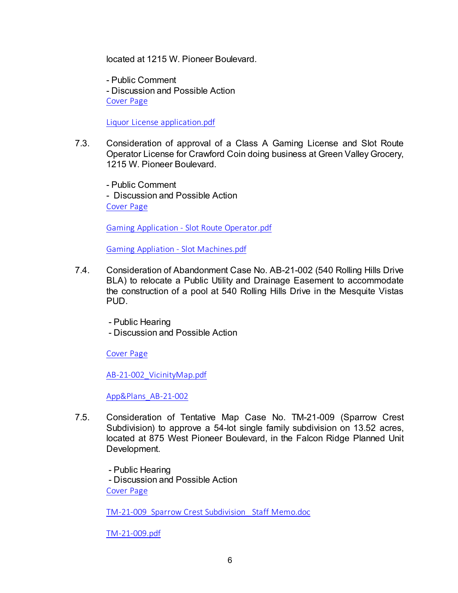located at 1215 W. Pioneer Boulevard.

- Public Comment - Discussion and Possible Action [Cover Page](https://legistarweb-production.s3.amazonaws.com/uploads/attachment/pdf/1232434/6736f1f44019a8ad78ac2e371a6615e10.pdf)

[Liquor License application.pdf](https://legistarweb-production.s3.amazonaws.com/uploads/attachment/pdf/1232423/Liquor_License_application.pdf)

- 7.3. Consideration of approval of a Class A Gaming License and Slot Route Operator License for Crawford Coin doing business at Green Valley Grocery, 1215 W. Pioneer Boulevard.
	- Public Comment - Discussion and Possible Action [Cover Page](https://legistarweb-production.s3.amazonaws.com/uploads/attachment/pdf/1232443/9f47b62dafeafe901d87df99584e622f0.pdf)

[Gaming Application - Slot Route Operator.pdf](https://legistarweb-production.s3.amazonaws.com/uploads/attachment/pdf/1232438/Gaming_Application_-_Slot_Route_Operator.pdf)

[Gaming Appliation - Slot Machines.pdf](https://legistarweb-production.s3.amazonaws.com/uploads/attachment/pdf/1232439/Gaming_Appliation_-_Slot_Machines.pdf)

- 7.4. Consideration of Abandonment Case No. AB-21-002 (540 Rolling Hills Drive BLA) to relocate a Public Utility and Drainage Easement to accommodate the construction of a pool at 540 Rolling Hills Drive in the Mesquite Vistas PUD.
	- Public Hearing
	- Discussion and Possible Action

[Cover Page](https://legistarweb-production.s3.amazonaws.com/uploads/attachment/pdf/1232456/77b8a8f8d627df8669833ad17513c4510.pdf)

[AB-21-002\\_VicinityMap.pdf](https://legistarweb-production.s3.amazonaws.com/uploads/attachment/pdf/1232451/AB-21-002_VicinityMap.pdf)

[App&Plans\\_AB-21-002](https://legistarweb-production.s3.amazonaws.com/uploads/attachment/pdf/1232452/AB-21-002.pdf)

7.5. Consideration of Tentative Map Case No. TM-21-009 (Sparrow Crest Subdivision) to approve a 54-lot single family subdivision on 13.52 acres, located at 875 West Pioneer Boulevard, in the Falcon Ridge Planned Unit Development.

 - Public Hearing - Discussion and Possible Action [Cover Page](https://legistarweb-production.s3.amazonaws.com/uploads/attachment/pdf/1232469/716d97ea99cc171820467da6e684f7400.pdf)

[TM-21-009\\_Sparrow Crest Subdivision\\_ Staff Memo.doc](https://legistarweb-production.s3.amazonaws.com/uploads/attachment/pdf/1232461/TM-21-009_Sparrow_Crest_Subdivision__Staff_Memo.pdf)

[TM-21-009.pdf](https://legistarweb-production.s3.amazonaws.com/uploads/attachment/pdf/1232462/TM-21-009.pdf)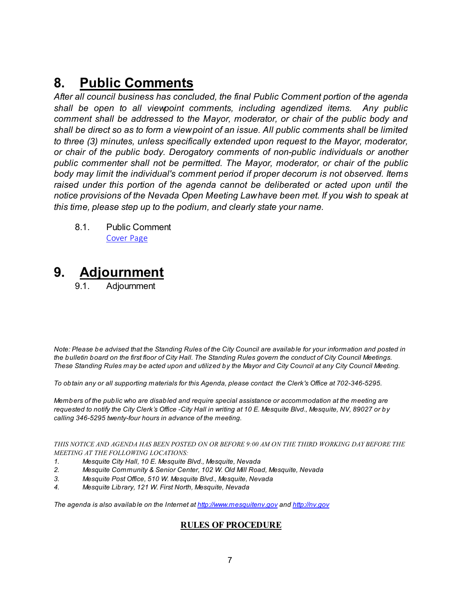## **8. Public Comments**

*After all council business has concluded, the final Public Comment portion of the agenda shall be open to all viewpoint comments, including agendized items. Any public comment shall be addressed to the Mayor, moderator, or chair of the public body and shall be direct so as to form a view point of an issue. All public comments shall be limited to three (3) minutes, unless specifically extended upon request to the Mayor, moderator, or chair of the public body. Derogatory comments of non-public individuals or another public commenter shall not be permitted. The Mayor, moderator, or chair of the public body may limit the individual's comment period if proper decorum is not observed. Items raised under this portion of the agenda cannot be deliberated or acted upon until the notice provisions of the Nevada Open Meeting Law have been met. If you wish to speak at this time, please step up to the podium, and clearly state your name.*

8.1. Public Comment [Cover Page](https://legistarweb-production.s3.amazonaws.com/uploads/attachment/pdf/1231825/d9d972fa18b3ff1639fb6b128c9d47130.pdf)

## **9. Adjournment**

9.1. Adjournment

*Note: Please be advised that the Standing Rules of the City Council are available for your information and posted in the bulletin board on the first floor of City Hall. The Standing Rules govern the conduct of City Council Meetings. These Standing Rules may be acted upon and utilized by the Mayor and City Council at any City Council Meeting.*

*To obtain any or all supporting materials for this Agenda, please contact the Clerk's Office at 702-346-5295.*

*Members of the public who are disabled and require special assistance or accommodation at the meeting are requested to notify the City Clerk's Office -City Hall in writing at 10 E. Mesquite Blvd., Mesquite, NV, 89027 or by calling 346-5295 twenty-four hours in advance of the meeting.*

*THIS NOTICE AND AGENDA HAS BEEN POSTED ON OR BEFORE 9:00 AM ON THE THIRD WORKING DAY BEFORE THE MEETING AT THE FOLLOWING LOCATIONS:* 

- *1. Mesquite City Hall, 10 E. Mesquite Blvd., Mesquite, Nevada*
- *2. Mesquite Community & Senior Center, 102 W. Old Mill Road, Mesquite, Nevada*
- *3. Mesquite Post Office, 510 W. Mesquite Blvd., Mesquite, Nevada*
- *4. Mesquite Library, 121 W. First North, Mesquite, Nevada*

*The agenda is also available on the Internet at<http://www.mesquitenv.gov> and [http://nv.gov](http://nv.gov/)*

### **RULES OF PROCEDURE**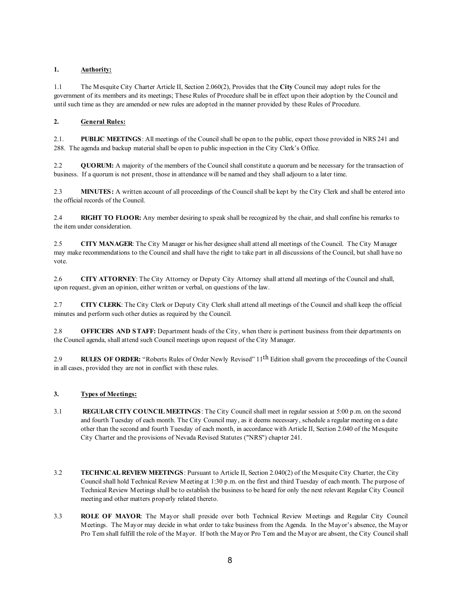### **1. Authority:**

1.1 The Mesquite City Charter Article II, Section 2.060(2), Provides that the **City** Council may adopt rules for the government of its members and its meetings; These Rules of Procedure shall be in effect upon their adoption by the Council and until such time as they are amended or new rules are adopted in the manner provided by these Rules of Procedure.

### **2. General Rules:**

2.1. **PUBLIC MEETINGS**: All meetings of the Council shall be open to the public, expect those provided in NRS 241 and 288. The agenda and backup material shall be open to public inspection in the City Clerk's Office.

2.2 **QUORUM:** A majority of the members of the Council shall constitute a quorum and be necessary for the transaction of business. If a quorum is not present, those in attendance will be named and they shall adjourn to a later time.

2.3 **MINUTES:** A written account of all proceedings of the Council shall be kept by the City Clerk and shall be entered into the official records of the Council.

2.4 **RIGHT TO FLOOR:** Any member desiring to speak shall be recognized by the chair, and shall confine his remarks to the item under consideration.

2.5 **CITY MANAGER**: The City Manager or his/her designee shall attend all meetings of the Council. The City Manager may make recommendations to the Council and shall have the right to take part in all discussions of the Council, but shall have no vote.

2.6 **CITY ATTORNEY**: The City Attorney or Deputy City Attorney shall attend all meetings of the Council and shall, upon request, given an opinion, either written or verbal, on questions of the law.

2.7 **CITY CLERK**: The City Clerk or Deputy City Clerk shall attend all meetings of the Council and shall keep the official minutes and perform such other duties as required by the Council.

2.8 **OFFICERS AND STAFF:** Department heads of the City, when there is pertinent business from their departments on the Council agenda, shall attend such Council meetings upon request of the City Manager.

2.9 **RULES OF ORDER:** "Roberts Rules of Order Newly Revised" 11th Edition shall govern the proceedings of the Council in all cases, provided they are not in conflict with these rules.

#### **3. Types of Meetings:**

- 3.1 **REGULAR CITY COUNCIL MEETINGS**: The City Council shall meet in regular session at 5:00 p.m. on the second and fourth Tuesday of each month. The City Council may, as it deems necessary, schedule a regular meeting on a date other than the second and fourth Tuesday of each month, in accordance with Article II, Section 2.040 of the Mesquite City Charter and the provisions of Nevada Revised Statutes ("NRS") chapter 241.
- 3.2 **TECHNICAL REVIEW MEETINGS**: Pursuant to Article II, Section 2.040(2) of the Mesquite City Charter, the City Council shall hold Technical Review Meeting at 1:30 p.m. on the first and third Tuesday of each month. The purpose of Technical Review Meetings shall be to establish the business to be heard for only the next relevant Regular City Council meeting and other matters properly related thereto.
- 3.3 **ROLE OF MAYOR**: The Mayor shall preside over both Technical Review Meetings and Regular City Council Meetings. The Mayor may decide in what order to take business from the Agenda. In the Mayor's absence, the Mayor Pro Tem shall fulfill the role of the Mayor. If both the Mayor Pro Tem and the Mayor are absent, the City Council shall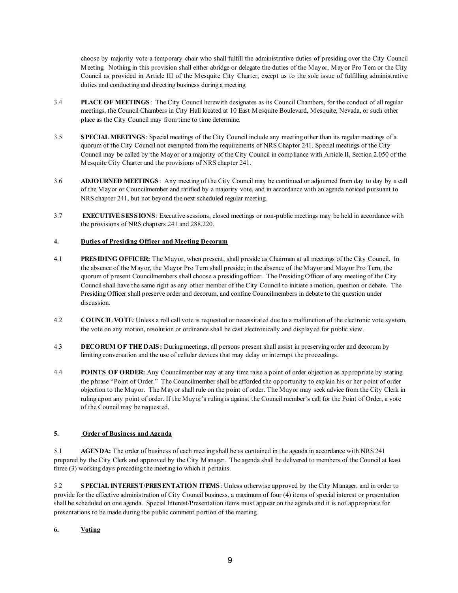choose by majority vote a temporary chair who shall fulfill the administrative duties of presiding over the City Council Meeting. Nothing in this provision shall either abridge or delegate the duties of the Mayor, Mayor Pro Tem or the City Council as provided in Article III of the Mesquite City Charter, except as to the sole issue of fulfilling administrative duties and conducting and directing business during a meeting.

- 3.4 **PLACE OF MEETINGS**: The City Council herewith designates as its Council Chambers, for the conduct of all regular meetings, the Council Chambers in City Hall located at 10 East Mesquite Boulevard, Mesquite, Nevada, or such other place as the City Council may from time to time determine.
- 3.5 **SPECIAL MEETINGS**: Special meetings of the City Council include any meeting other than its regular meetings of a quorum of the City Council not exempted from the requirements of NRS Chapter 241. Special meetings of the City Council may be called by the Mayor or a majority of the City Council in compliance with Article II, Section 2.050 of the Mesquite City Charter and the provisions of NRS chapter 241.
- 3.6 **ADJOURNED MEETINGS**: Any meeting of the City Council may be continued or adjourned from day to day by a call of the Mayor or Councilmember and ratified by a majority vote, and in accordance with an agenda noticed pursuant to NRS chapter 241, but not beyond the next scheduled regular meeting.
- 3.7 **EXECUTIVE SESSIONS**: Executive sessions, closed meetings or non-public meetings may be held in accordance with the provisions of NRS chapters 241 and 288.220.

### **4. Duties of Presiding Officer and Meeting Decorum**

- 4.1 **PRESIDING OFFICER:** The Mayor, when present, shall preside as Chairman at all meetings of the City Council. In the absence of the Mayor, the Mayor Pro Tern shall preside; in the absence of the Mayor and Mayor Pro Tern, the quorum of present Councilmembers shall choose a presiding officer. The Presiding Officer of any meeting of the City Council shall have the same right as any other member of the City Council to initiate a motion, question or debate. The Presiding Officer shall preserve order and decorum, and confine Councilmembers in debate to the question under discussion.
- 4.2 **COUNCIL VOTE**: Unless a roll call vote is requested or necessitated due to a malfunction of the electronic vote system, the vote on any motion, resolution or ordinance shall be cast electronically and displayed for public view.
- 4.3 **DECORUM OF THE DAIS:** During meetings, all persons present shall assist in preserving order and decorum by limiting conversation and the use of cellular devices that may delay or interrupt the proceedings.
- 4.4 **POINTS OF ORDER:** Any Councilmember may at any time raise a point of order objection as appropriate by stating the phrase "Point of Order." The Councilmember shall be afforded the opportunity to explain his or her point of order objection to the Mayor. The Mayor shall rule on the point of order. The Mayor may seek advice from the City Clerk in ruling upon any point of order. If the Mayor's ruling is against the Council member's call for the Point of Order, a vote of the Council may be requested.

### **5. Order of Business and Agenda**

5.1 **AGENDA:** The order of business of each meeting shall be as contained in the agenda in accordance with NRS 241 prepared by the City Clerk and approved by the City Manager. The agenda shall be delivered to members of the Council at least three (3) working days preceding the meeting to which it pertains.

5.2 **SPECIAL INTEREST/PRESENTATION ITEMS**: Unless otherwise approved by the City Manager, and in order to provide for the effective administration of City Council business, a maximum of four (4) items of special interest or presentation shall be scheduled on one agenda. Special Interest/Presentation items must appear on the agenda and it is not appropriate for presentations to be made during the public comment portion of the meeting.

### **6. Voting**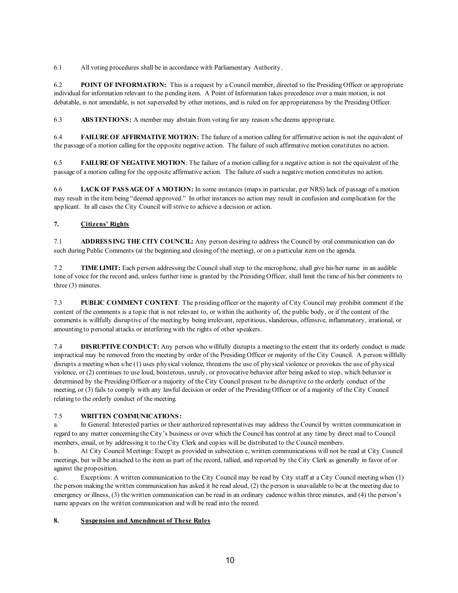6.1 All voting procedures shall be in accordance with Parliamentary Authority.

6.2 **POINT OF INFORMATION:** This is a request by a Council member, directed to the Presiding Officer or appropriate individual for information relevant to the pending item. A Point of Information takes precedence over a main motion, is not debatable, is not amendable, is not superseded by other motions, and is ruled on for appropriateness by the Presiding Officer.

6.3 **ABSTENTIONS:** A member may abstain from voting for any reason s/he deems appropriate.

6.4 **FAILURE OF AFFIRMATIVE MOTION:** The failure of a motion calling for affirmative action is not the equivalent of the passage of a motion calling for the opposite negative action. The failure of such affirmative motion constitutes no action.

6.5 **FAILURE OF NEGATIVE MOTION**: The failure of a motion calling for a negative action is not the equivalent of the passage of a motion calling for the opposite affirmative action. The failure of such a negative motion constitutes no action.

6.6 **LACK OF PASSAGE OF A MOTION:** In some instances (maps in particular, per NRS) lack of passage of a motion may result in the item being "deemed approved." In other instances no action may result in confusion and complication for the applicant. In all cases the City Council will strive to achieve a decision or action.

### **7. Citizens' Rights**

7.1 **ADDRESSING THE CITY COUNCIL:** Any person desiring to address the Council by oral communication can do such during Public Comments (at the beginning and closing of the meeting), or on a particular item on the agenda.

7.2 **TIME LIMIT:** Each person addressing the Council shall step to the microphone, shall give his/her name in an audible tone of voice for the record and, unless further time is granted by the Presiding Officer, shall limit the time of his/her comments to three (3) minutes.

7.3 **PUBLIC COMMENT CONTENT***:* The presiding officer or the majority of City Council may prohibit comment if the content of the comments is a topic that is not relevant to, or within the authority of, the public body, or if the content of the comments is willfully disruptive of the meeting by being irrelevant, repetitious, slanderous, offensive, inflammatory, irrational, or amounting to personal attacks or interfering with the rights of other speakers.

7.4 **DISRUPTIVE CONDUCT:** Any person who willfully disrupts a meeting to the extent that its orderly conduct is made impractical may be removed from the meeting by order of the Presiding Officer or majority of the City Council. A person willfully disrupts a meeting when s/he (1) uses physical violence, threatens the use of physical violence or provokes the use of physical violence, or (2) continues to use loud, boisterous, unruly, or provocative behavior after being asked to stop, which behavior is determined by the Presiding Officer or a majority of the City Council present to be disruptive to the orderly conduct of the meeting, or (3) fails to comply with any lawful decision or order of the Presiding Officer or of a majority of the City Council relating to the orderly conduct of the meeting.

### 7.5 **WRITTEN COMMUNICATIONS:**

a. In General: Interested parties or their authorized representatives may address the Council by written communication in regard to any matter concerning the City's business or over which the Council has control at any time by direct mail to Council members, email, or by addressing it to the City Clerk and copies will be distributed to the Council members.

b. At City Council Meetings: Except as provided in subsection c, written communications will not be read at City Council meetings, but will be attached to the item as part of the record, tallied, and reported by the City Clerk as generally in favor of or against the proposition.

c. Exceptions: A written communication to the City Council may be read by City staff at a City Council meeting when (1) the person making the written communication has asked it be read aloud, (2) the person is unavailable to be at the meeting due to emergency or illness, (3) the written communication can be read in an ordinary cadence within three minutes, and (4) the person's name appears on the written communication and will be read into the record.

#### **8. Suspension and Amendment of These Rules**